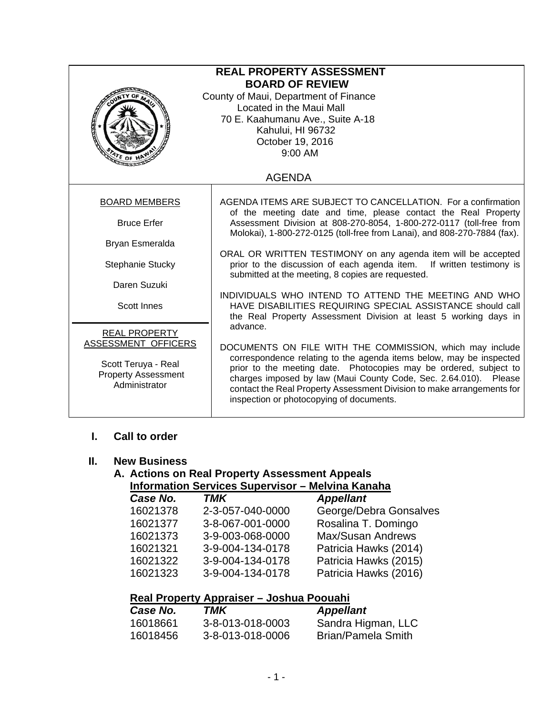| <b>REAL PROPERTY ASSESSMENT</b><br><b>BOARD OF REVIEW</b><br>County of Maui, Department of Finance<br>Located in the Maui Mall<br>70 E. Kaahumanu Ave., Suite A-18<br>Ę<br>Kahului, HI 96732<br>October 19, 2016<br>$9:00$ AM |                                                                                                                                                                                                                                                                                                                                                                                                            |  |
|-------------------------------------------------------------------------------------------------------------------------------------------------------------------------------------------------------------------------------|------------------------------------------------------------------------------------------------------------------------------------------------------------------------------------------------------------------------------------------------------------------------------------------------------------------------------------------------------------------------------------------------------------|--|
|                                                                                                                                                                                                                               | <b>AGENDA</b>                                                                                                                                                                                                                                                                                                                                                                                              |  |
| <b>BOARD MEMBERS</b>                                                                                                                                                                                                          | AGENDA ITEMS ARE SUBJECT TO CANCELLATION. For a confirmation<br>of the meeting date and time, please contact the Real Property                                                                                                                                                                                                                                                                             |  |
| <b>Bruce Erfer</b>                                                                                                                                                                                                            | Assessment Division at 808-270-8054, 1-800-272-0117 (toll-free from<br>Molokai), 1-800-272-0125 (toll-free from Lanai), and 808-270-7884 (fax).                                                                                                                                                                                                                                                            |  |
| Bryan Esmeralda                                                                                                                                                                                                               |                                                                                                                                                                                                                                                                                                                                                                                                            |  |
| Stephanie Stucky                                                                                                                                                                                                              | ORAL OR WRITTEN TESTIMONY on any agenda item will be accepted<br>prior to the discussion of each agenda item. If written testimony is<br>submitted at the meeting, 8 copies are requested.                                                                                                                                                                                                                 |  |
| Daren Suzuki                                                                                                                                                                                                                  |                                                                                                                                                                                                                                                                                                                                                                                                            |  |
| Scott Innes                                                                                                                                                                                                                   | INDIVIDUALS WHO INTEND TO ATTEND THE MEETING AND WHO<br>HAVE DISABILITIES REQUIRING SPECIAL ASSISTANCE should call<br>the Real Property Assessment Division at least 5 working days in                                                                                                                                                                                                                     |  |
| <b>REAL PROPERTY</b><br>ASSESSMENT OFFICERS<br>Scott Teruya - Real<br><b>Property Assessment</b><br>Administrator                                                                                                             | advance.<br>DOCUMENTS ON FILE WITH THE COMMISSION, which may include<br>correspondence relating to the agenda items below, may be inspected<br>prior to the meeting date. Photocopies may be ordered, subject to<br>charges imposed by law (Maui County Code, Sec. 2.64.010). Please<br>contact the Real Property Assessment Division to make arrangements for<br>inspection or photocopying of documents. |  |

## **I. Call to order**

#### **II. New Business**

#### **A. Actions on Real Property Assessment Appeals Information Services Supervisor – Melvina Kanaha**

| Case No. | <b>TMK</b>       | <b>Appellant</b>         |
|----------|------------------|--------------------------|
| 16021378 | 2-3-057-040-0000 | George/Debra Gonsalves   |
| 16021377 | 3-8-067-001-0000 | Rosalina T. Domingo      |
| 16021373 | 3-9-003-068-0000 | <b>Max/Susan Andrews</b> |
| 16021321 | 3-9-004-134-0178 | Patricia Hawks (2014)    |
| 16021322 | 3-9-004-134-0178 | Patricia Hawks (2015)    |
| 16021323 | 3-9-004-134-0178 | Patricia Hawks (2016)    |
|          |                  |                          |

## **Real Property Appraiser – Joshua Poouahi**

| Case No. | TMK              | <b>Appellant</b>   |
|----------|------------------|--------------------|
| 16018661 | 3-8-013-018-0003 | Sandra Higman, LLC |
| 16018456 | 3-8-013-018-0006 | Brian/Pamela Smith |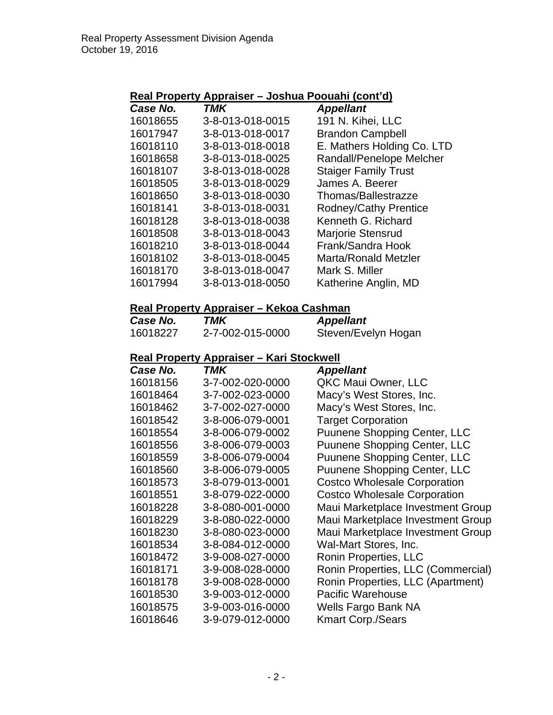#### **Real Property Appraiser – Joshua Poouahi (cont'd)**

| Case No.             | TMK                                              | <b>Appellant</b>                                |
|----------------------|--------------------------------------------------|-------------------------------------------------|
| 16018655             | 3-8-013-018-0015                                 | 191 N. Kihei, LLC                               |
| 16017947             | 3-8-013-018-0017                                 | <b>Brandon Campbell</b>                         |
| 16018110             | 3-8-013-018-0018                                 | E. Mathers Holding Co. LTD                      |
| 16018658             | 3-8-013-018-0025                                 | Randall/Penelope Melcher                        |
| 16018107             | 3-8-013-018-0028                                 | <b>Staiger Family Trust</b>                     |
| 16018505             | 3-8-013-018-0029                                 | James A. Beerer                                 |
| 16018650             | 3-8-013-018-0030                                 | Thomas/Ballestrazze                             |
| 16018141             | 3-8-013-018-0031                                 | Rodney/Cathy Prentice                           |
| 16018128             | 3-8-013-018-0038                                 | Kenneth G. Richard                              |
| 16018508             | 3-8-013-018-0043                                 | Marjorie Stensrud                               |
| 16018210             | 3-8-013-018-0044                                 | Frank/Sandra Hook                               |
| 16018102             | 3-8-013-018-0045                                 | <b>Marta/Ronald Metzler</b>                     |
| 16018170             | 3-8-013-018-0047                                 | Mark S. Miller                                  |
| 16017994             | 3-8-013-018-0050                                 | Katherine Anglin, MD                            |
|                      | Real Property Appraiser - Kekoa Cashman          |                                                 |
| Case No.             | <b>TMK</b>                                       | <b>Appellant</b>                                |
| 16018227             | 2-7-002-015-0000                                 | Steven/Evelyn Hogan                             |
|                      | <u> Real Property Appraiser – Kari Stockwell</u> |                                                 |
| Case No.             | <b>TMK</b>                                       | <b>Appellant</b>                                |
| 16018156             | 3-7-002-020-0000                                 | QKC Maui Owner, LLC                             |
| 16018464             | 3-7-002-023-0000                                 | Macy's West Stores, Inc.                        |
| 16018462             | 3-7-002-027-0000                                 | Macy's West Stores, Inc.                        |
| 16018542             | 3-8-006-079-0001                                 | <b>Target Corporation</b>                       |
| 16018554             | 3-8-006-079-0002                                 | Puunene Shopping Center, LLC                    |
| 16018556             | 3-8-006-079-0003                                 | <b>Puunene Shopping Center, LLC</b>             |
| 16018559             | 3-8-006-079-0004                                 | <b>Puunene Shopping Center, LLC</b>             |
| 16018560             | 3-8-006-079-0005                                 | <b>Puunene Shopping Center, LLC</b>             |
| 16018573             | 3-8-079-013-0001                                 | <b>Costco Wholesale Corporation</b>             |
| 16018551             | 3-8-079-022-0000                                 | <b>Costco Wholesale Corporation</b>             |
| 16018228             | 3-8-080-001-0000                                 | Maui Marketplace Investment Group               |
| 16018229             | 3-8-080-022-0000                                 | Maui Marketplace Investment Group               |
| 16018230             | 3-8-080-023-0000                                 | Maui Marketplace Investment Group               |
| 16018534             | 3-8-084-012-0000                                 | Wal-Mart Stores, Inc.                           |
| 16018472             |                                                  | Ronin Properties, LLC                           |
| 16018171             | 3-9-008-027-0000                                 |                                                 |
|                      | 3-9-008-028-0000                                 | Ronin Properties, LLC (Commercial)              |
| 16018178             | 3-9-008-028-0000                                 | Ronin Properties, LLC (Apartment)               |
| 16018530             | 3-9-003-012-0000                                 | <b>Pacific Warehouse</b>                        |
| 16018575<br>16018646 | 3-9-003-016-0000<br>3-9-079-012-0000             | Wells Fargo Bank NA<br><b>Kmart Corp./Sears</b> |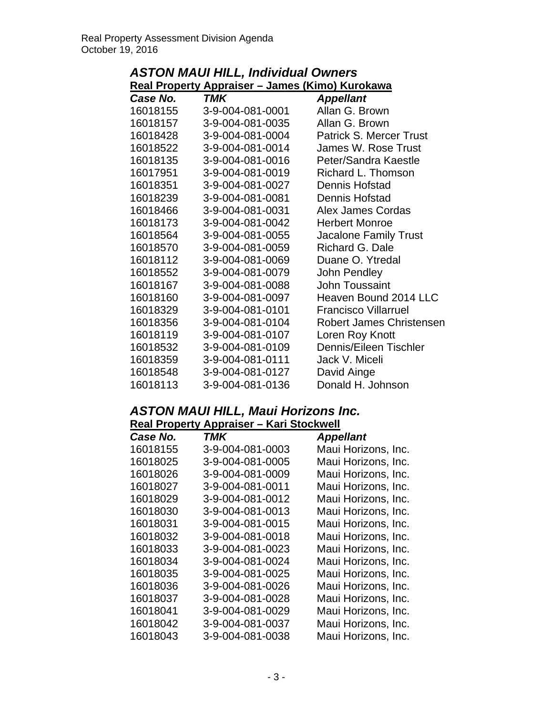| <b>ASTON MAUI HILL, Individual Owners</b> |                                                         |                                |
|-------------------------------------------|---------------------------------------------------------|--------------------------------|
|                                           | <u> Real Property Appraiser – James (Kimo) Kurokawa</u> |                                |
| Case No.                                  | <b>TMK</b>                                              | <b>Appellant</b>               |
| 16018155                                  | 3-9-004-081-0001                                        | Allan G. Brown                 |
| 16018157                                  | 3-9-004-081-0035                                        | Allan G. Brown                 |
| 16018428                                  | 3-9-004-081-0004                                        | <b>Patrick S. Mercer Trust</b> |
| 16018522                                  | 3-9-004-081-0014                                        | James W. Rose Trust            |
| 16018135                                  | 3-9-004-081-0016                                        | Peter/Sandra Kaestle           |
| 16017951                                  | 3-9-004-081-0019                                        | Richard L. Thomson             |
| 16018351                                  | 3-9-004-081-0027                                        | Dennis Hofstad                 |
| 16018239                                  | 3-9-004-081-0081                                        | <b>Dennis Hofstad</b>          |
| 16018466                                  | 3-9-004-081-0031                                        | Alex James Cordas              |
| 16018173                                  | 3-9-004-081-0042                                        | <b>Herbert Monroe</b>          |
| 16018564                                  | 3-9-004-081-0055                                        | <b>Jacalone Family Trust</b>   |
| 16018570                                  | 3-9-004-081-0059                                        | Richard G. Dale                |
| 16018112                                  | 3-9-004-081-0069                                        | Duane O. Ytredal               |
| 16018552                                  | 3-9-004-081-0079                                        | John Pendley                   |
| 16018167                                  | 3-9-004-081-0088                                        | John Toussaint                 |
| 16018160                                  | 3-9-004-081-0097                                        | Heaven Bound 2014 LLC          |
| 16018329                                  | 3-9-004-081-0101                                        | <b>Francisco Villarruel</b>    |
| 16018356                                  | 3-9-004-081-0104                                        | Robert James Christensen       |
| 16018119                                  | 3-9-004-081-0107                                        | Loren Roy Knott                |
| 16018532                                  | 3-9-004-081-0109                                        | Dennis/Eileen Tischler         |
| 16018359                                  | 3-9-004-081-0111                                        | Jack V. Miceli                 |
| 16018548                                  | 3-9-004-081-0127                                        | David Ainge                    |
| 16018113                                  | 3-9-004-081-0136                                        | Donald H. Johnson              |

## *ASTON MAUI HILL, Maui Horizons Inc.*  **Real Property Appraiser – Kari Stockwell**

| Case No. | TMK              | <b>Appellant</b>    |
|----------|------------------|---------------------|
| 16018155 | 3-9-004-081-0003 | Maui Horizons, Inc. |
| 16018025 | 3-9-004-081-0005 | Maui Horizons, Inc. |
| 16018026 | 3-9-004-081-0009 | Maui Horizons, Inc. |
| 16018027 | 3-9-004-081-0011 | Maui Horizons, Inc. |
| 16018029 | 3-9-004-081-0012 | Maui Horizons, Inc. |
| 16018030 | 3-9-004-081-0013 | Maui Horizons, Inc. |
| 16018031 | 3-9-004-081-0015 | Maui Horizons, Inc. |
| 16018032 | 3-9-004-081-0018 | Maui Horizons, Inc. |
| 16018033 | 3-9-004-081-0023 | Maui Horizons, Inc. |
| 16018034 | 3-9-004-081-0024 | Maui Horizons, Inc. |
| 16018035 | 3-9-004-081-0025 | Maui Horizons, Inc. |
| 16018036 | 3-9-004-081-0026 | Maui Horizons, Inc. |
| 16018037 | 3-9-004-081-0028 | Maui Horizons, Inc. |
| 16018041 | 3-9-004-081-0029 | Maui Horizons, Inc. |
| 16018042 | 3-9-004-081-0037 | Maui Horizons, Inc. |
| 16018043 | 3-9-004-081-0038 | Maui Horizons, Inc. |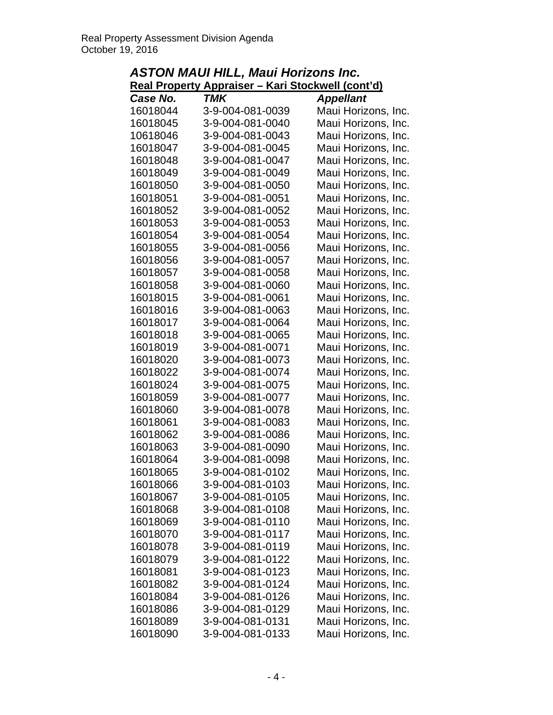| ASTON MAUI HILL, Maui Horizons Inc. |                                                           |                     |  |
|-------------------------------------|-----------------------------------------------------------|---------------------|--|
|                                     | <u> Real Property Appraiser – Kari Stockwell (cont'd)</u> |                     |  |
| Case No.                            | <b>TMK</b>                                                | <b>Appellant</b>    |  |
| 16018044                            | 3-9-004-081-0039                                          | Maui Horizons, Inc. |  |
| 16018045                            | 3-9-004-081-0040                                          | Maui Horizons, Inc. |  |
| 10618046                            | 3-9-004-081-0043                                          | Maui Horizons, Inc. |  |
| 16018047                            | 3-9-004-081-0045                                          | Maui Horizons, Inc. |  |
| 16018048                            | 3-9-004-081-0047                                          | Maui Horizons, Inc. |  |
| 16018049                            | 3-9-004-081-0049                                          | Maui Horizons, Inc. |  |
| 16018050                            | 3-9-004-081-0050                                          | Maui Horizons, Inc. |  |
| 16018051                            | 3-9-004-081-0051                                          | Maui Horizons, Inc. |  |
| 16018052                            | 3-9-004-081-0052                                          | Maui Horizons, Inc. |  |
| 16018053                            | 3-9-004-081-0053                                          | Maui Horizons, Inc. |  |
| 16018054                            | 3-9-004-081-0054                                          | Maui Horizons, Inc. |  |
| 16018055                            | 3-9-004-081-0056                                          | Maui Horizons, Inc. |  |
| 16018056                            | 3-9-004-081-0057                                          | Maui Horizons, Inc. |  |
| 16018057                            | 3-9-004-081-0058                                          | Maui Horizons, Inc. |  |
| 16018058                            | 3-9-004-081-0060                                          | Maui Horizons, Inc. |  |
| 16018015                            | 3-9-004-081-0061                                          | Maui Horizons, Inc. |  |
| 16018016                            | 3-9-004-081-0063                                          | Maui Horizons, Inc. |  |
| 16018017                            | 3-9-004-081-0064                                          | Maui Horizons, Inc. |  |
| 16018018                            | 3-9-004-081-0065                                          | Maui Horizons, Inc. |  |
| 16018019                            | 3-9-004-081-0071                                          | Maui Horizons, Inc. |  |
| 16018020                            | 3-9-004-081-0073                                          | Maui Horizons, Inc. |  |
| 16018022                            | 3-9-004-081-0074                                          | Maui Horizons, Inc. |  |
| 16018024                            | 3-9-004-081-0075                                          | Maui Horizons, Inc. |  |
| 16018059                            | 3-9-004-081-0077                                          | Maui Horizons, Inc. |  |
| 16018060                            | 3-9-004-081-0078                                          | Maui Horizons, Inc. |  |
| 16018061                            | 3-9-004-081-0083                                          | Maui Horizons, Inc. |  |
| 16018062                            | 3-9-004-081-0086                                          | Maui Horizons, Inc. |  |
| 16018063                            | 3-9-004-081-0090                                          | Maui Horizons, Inc. |  |
| 16018064                            | 3-9-004-081-0098                                          | Maui Horizons, Inc. |  |
| 16018065                            | 3-9-004-081-0102                                          | Maui Horizons, Inc. |  |
| 16018066                            | 3-9-004-081-0103                                          | Maui Horizons, Inc. |  |
| 16018067                            | 3-9-004-081-0105                                          | Maui Horizons, Inc. |  |
| 16018068                            | 3-9-004-081-0108                                          | Maui Horizons, Inc. |  |
| 16018069                            | 3-9-004-081-0110                                          | Maui Horizons, Inc. |  |
| 16018070                            | 3-9-004-081-0117                                          | Maui Horizons, Inc. |  |
| 16018078                            | 3-9-004-081-0119                                          | Maui Horizons, Inc. |  |
| 16018079                            | 3-9-004-081-0122                                          | Maui Horizons, Inc. |  |
| 16018081                            | 3-9-004-081-0123                                          | Maui Horizons, Inc. |  |
| 16018082                            | 3-9-004-081-0124                                          | Maui Horizons, Inc. |  |
| 16018084                            | 3-9-004-081-0126                                          | Maui Horizons, Inc. |  |
| 16018086                            | 3-9-004-081-0129                                          | Maui Horizons, Inc. |  |
| 16018089                            | 3-9-004-081-0131                                          | Maui Horizons, Inc. |  |
| 16018090                            | 3-9-004-081-0133                                          | Maui Horizons, Inc. |  |

# *ASTON MAUI HILL, Maui Horizons Inc.*